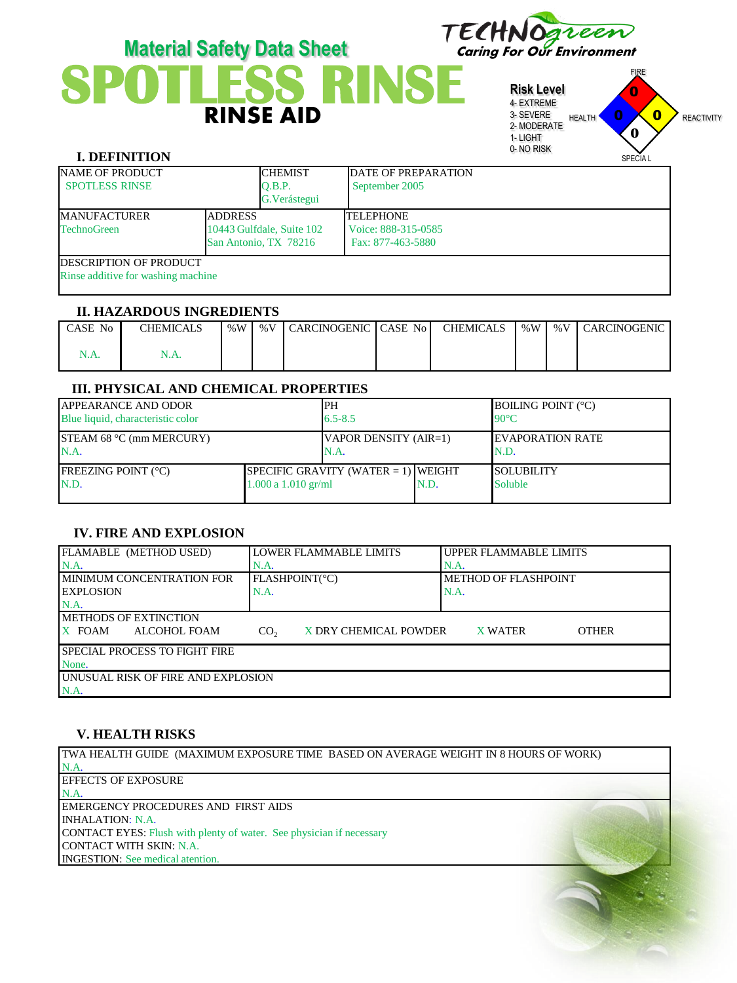

# Material Safety Data Sheet<br>
SPOTLESS RINSE<br>
RINSE AID<br>
RINSE AID **Material Safety Data Sheet**

**Risk Level** 4- EXTREME 3- SEVERE 2- MODERATE 1- LIGHT 0- NO RISK FIRE HEALTH **U AU** REACTIVITY SPECIA L 0 0  $\mathbf{0}$ **0**

# **I. DEFINITION**

| <b>NAME OF PRODUCT</b><br><b>SPOTLESS RINSE</b>                      |                                                                      | <b>CHEMIST</b><br>O.B.P.<br>G. Verástegui | DATE OF PREPARATION<br>September 2005                        |
|----------------------------------------------------------------------|----------------------------------------------------------------------|-------------------------------------------|--------------------------------------------------------------|
| <b>MANUFACTURER</b><br><b>TechnoGreen</b>                            | <b>ADDRESS</b><br>10443 Gulfdale, Suite 102<br>San Antonio, TX 78216 |                                           | <b>TELEPHONE</b><br>Voice: 888-315-0585<br>Fax: 877-463-5880 |
| <b>IDESCRIPTION OF PRODUCT</b><br>Rinse additive for washing machine |                                                                      |                                           |                                                              |

#### **II. HAZARDOUS INGREDIENTS**

| l CASE No | <b>CHEMICALS</b> | % $W$ | %V CARCINOGENIC CASE No | CHEMICALS |  | %W∣%V∣CARCINOGENIC |
|-----------|------------------|-------|-------------------------|-----------|--|--------------------|
|           | 1.A              |       |                         |           |  |                    |

# **III. PHYSICAL AND CHEMICAL PROPERTIES**

| <b>APPEARANCE AND ODOR</b><br>Blue liquid, characteristic color |                         | PH<br>$6.5 - 8.5$                      |      | <b>BOILING POINT (°C)</b><br>$90^{\circ}$ C |
|-----------------------------------------------------------------|-------------------------|----------------------------------------|------|---------------------------------------------|
| $ISTEAM$ 68 °C (mm MERCURY)<br>N.A.                             |                         | VAPOR DENSITY (AIR=1)<br>N.A.          |      | <b>IEVAPORATION RATE</b><br>N.D.            |
| <b>IFREEZING POINT (°C)</b><br>N.D.                             | $1.000$ a $1.010$ gr/ml | SPECIFIC GRAVITY (WATER $= 1$ ) WEIGHT | N.D. | <b>SOLUBILITY</b><br><b>Soluble</b>         |

## **IV. FIRE AND EXPLOSION**

| FLAMABLE (METHOD USED)                     | LLOWER FLAMMABLE LIMITS                  | UPPER FLAMMABLE LIMITS  |  |  |  |
|--------------------------------------------|------------------------------------------|-------------------------|--|--|--|
| $NA$ .                                     | N.A                                      | N.A.                    |  |  |  |
| I MINIMUM CONCENTRATION FOR                | FLASHPOINT(°C)                           | METHOD OF FLASHPOINT    |  |  |  |
| <b>LEXPLOSION</b>                          | N.A.                                     | N.A.                    |  |  |  |
| $NA$ .                                     |                                          |                         |  |  |  |
| <b>IMETHODS OF EXTINCTION</b>              |                                          |                         |  |  |  |
| X FOAM<br>ALCOHOL FOAM                     | X DRY CHEMICAL POWDER<br>CO <sub>2</sub> | <b>OTHER</b><br>X WATER |  |  |  |
| I SPECIAL PROCESS TO FIGHT FIRE            |                                          |                         |  |  |  |
| None.                                      |                                          |                         |  |  |  |
| <b>LUNUSUAL RISK OF FIRE AND EXPLOSION</b> |                                          |                         |  |  |  |
| N.A.                                       |                                          |                         |  |  |  |

## **V. HEALTH RISKS**

TWA HEALTH GUIDE (MAXIMUM EXPOSURE TIME BASED ON AVERAGE WEIGHT IN 8 HOURS OF WORK) N.A. EFFECTS OF EXPOSURE N.A. EMERGENCY PROCEDURES AND FIRST AIDS INHALATION: N.A. CONTACT EYES: Flush with plenty of water. See physician if necessary CONTACT WITH SKIN: N.A. INGESTION: See medical atention.